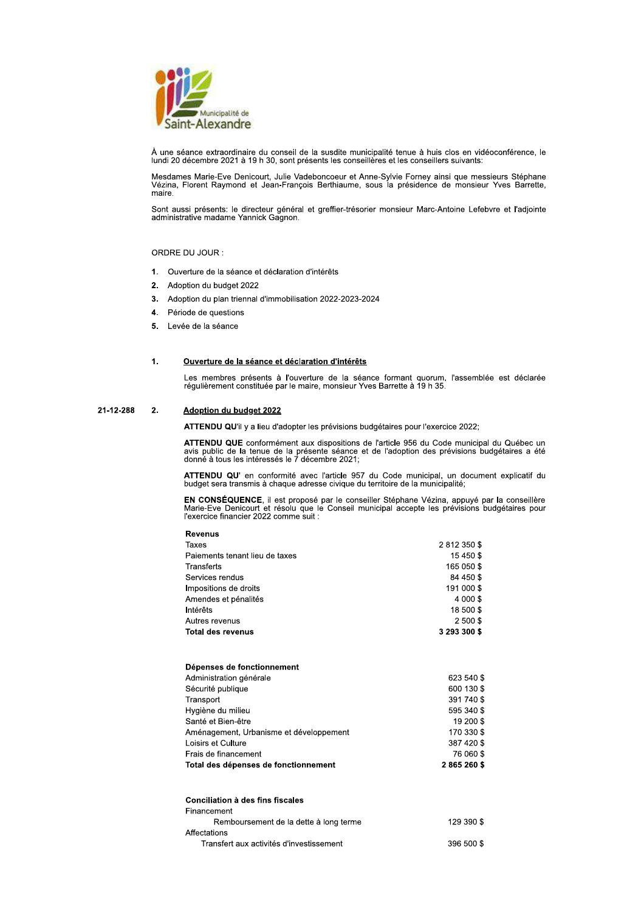

À une séance extraordinaire du conseil de la susdite municipalité tenue à huis clos en vidéoconférence, le<br>lundi 20 décembre 2021 à 19 h 30, sont présents les conseillères et les conseillers suivants:

Mesdames Marie-Eve Denicourt, Julie Vadeboncoeur et Anne-Sylvie Forney ainsi que messieurs Stéphane Vézina, Florent Raymond et Jean-François Berthiaume, sous la présidence de monsieur Yves Barrette, maire

Sont aussi présents: le directeur général et greffier-trésorier monsieur Marc-Antoine Lefebvre et l'adjointe administrative madame Yannick Gagnon.

## ORDRE DU JOUR :

- 1. Ouverture de la séance et déclaration d'intérêts
- Adoption du budget 2022  $2.$
- Adoption du plan triennal d'immobilisation 2022-2023-2024  $3.$
- 4. Période de questions
- 5. Levée de la séance

### $\mathbf{1}$ Ouverture de la séance et déclaration d'intérêts

Les membres présents à l'ouverture de la séance formant quorum. l'assemblée est déclarée régulièrement constituée par le maire, monsieur Yves Barrette à 19 h 35.

#### 21-12-288  $2.$ Adoption du budget 2022

ATTENDU QU'il y a lieu d'adopter les prévisions budgétaires pour l'exercice 2022;

ATTENDU QUE conformément aux dispositions de l'article 956 du Code municipal du Québec un avis public de la tenue de la présente séance et de l'adoption des prévisions budgétaires a été donné à tous les intéressés le 7 déc

ATTENDU QU' en conformité avec l'article 957 du Code municipal, un document explicatif du budget sera transmis à chaque adresse civique du territoire de la municipalité;

EN CONSÉQUENCE, il est proposé par le conseiller Stéphane Vézina, appuyé par la conseillère<br>Marie-Eve Denicourt et résolu que le Conseil municipal accepte les prévisions budgétaires pour l'exercice financier 2022 comme suit :

| 2812350\$<br>15 450 \$<br>165 050 \$<br>84 450 \$<br>191 000 \$<br>4 000 \$<br>18 500 \$<br>2 500 \$ | <b>Revenus</b>                 |              |
|------------------------------------------------------------------------------------------------------|--------------------------------|--------------|
|                                                                                                      | Taxes                          |              |
|                                                                                                      | Paiements tenant lieu de taxes |              |
|                                                                                                      | Transferts                     |              |
|                                                                                                      | Services rendus                |              |
|                                                                                                      | Impositions de droits          |              |
|                                                                                                      | Amendes et pénalités           |              |
|                                                                                                      | Intérêts                       |              |
|                                                                                                      | Autres revenus                 |              |
|                                                                                                      | <b>Total des revenus</b>       | 3 293 300 \$ |

# Dépenses de fonctionnement

| Total des dépenses de fonctionnement    | 2865260\$  |
|-----------------------------------------|------------|
| Frais de financement                    | 76 060 \$  |
| Loisirs et Culture                      | 387 420 \$ |
| Aménagement, Urbanisme et développement | 170 330 \$ |
| Santé et Bien-être                      | 19 200 \$  |
| Hygiène du milieu                       | 595 340 \$ |
| Transport                               | 391 740 \$ |
| Sécurité publique                       | 600 130 \$ |
| Administration générale                 | 623 540 \$ |

| Conciliation à des fins fiscales         |            |
|------------------------------------------|------------|
| Financement                              |            |
| Remboursement de la dette à long terme   | 129 390 \$ |
| Affectations                             |            |
| Transfert aux activités d'investissement | 396 500 \$ |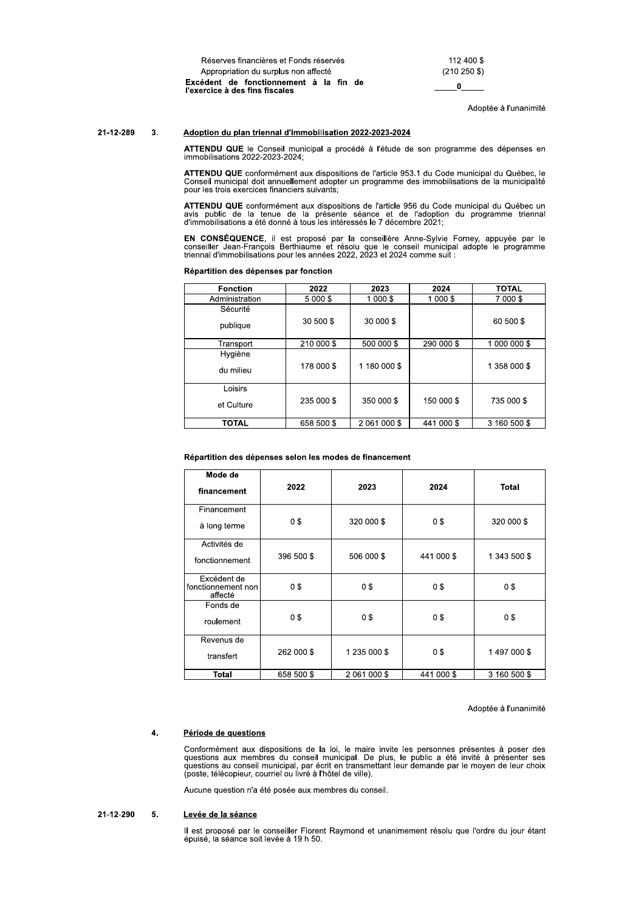Réserves financières et Fonds réservés Appropriation du surplus non affecté Excédent de fonctionnement à la fin de l'exercice à des fins fiscales

112 400 \$  $(210 250$ \$)  $_{0}$ 

Adoptée à l'unanimité

#### 21-12-289  $\mathbf{3}$ . Adoption du plan triennal d'immobilisation 2022-2023-2024

ATTENDU QUE le Conseil municipal a procédé à l'étude de son programme des dépenses en immobilisations 2022-2023-2024;

ATTENDU QUE conformément aux dispositions de l'article 953.1 du Code municipal du Québec, le Conseil municipal doit annuellement adopter un programme des immobilisations de la municipalité pour les trois exercices financiers suivants:

ATTENDU QUE conformément aux dispositions de l'article 956 du Code municipal du Québec un avis public de la tenue de la présente séance et de l'adoption du programme triennal d'immobilisations a été donné à tous les intére

EN CONSÉQUENCE, il est proposé par la conseillère Anne-Sylvie Forney, appuyée par le conseiller Jean-François Berthiaume et résolu que le conseil municipal adopte le programme triennal d'immobilisations pour les années 202

|  | Répartition des dépenses par fonction |  |  |  |  |
|--|---------------------------------------|--|--|--|--|
|--|---------------------------------------|--|--|--|--|

| <b>Fonction</b> | 2022       | 2023         | 2024       | <b>TOTAL</b> |
|-----------------|------------|--------------|------------|--------------|
| Administration  | 5 000 \$   | 1 000 \$     | 1 000 \$   | 7 000 \$     |
| Sécurité        |            |              |            |              |
| publique        | 30 500 \$  | 30 000 \$    |            | 60 500 \$    |
| Transport       | 210 000 \$ | 500 000 \$   | 290 000 \$ | 1 000 000 \$ |
| Hygiène         |            |              |            |              |
| du milieu       | 178 000 \$ | 1 180 000 \$ |            | 1 358 000 \$ |
| Loisirs         |            |              |            |              |
| et Culture      | 235 000 \$ | 350 000 \$   | 150 000 \$ | 735 000 \$   |
| <b>TOTAL</b>    | 658 500 \$ | 2 061 000 \$ | 441 000 \$ | 3 160 500 \$ |

## Répartition des dépenses selon les modes de financement

| Mode de<br>financement                       | 2022       | 2023           | 2024       | <b>Total</b> |
|----------------------------------------------|------------|----------------|------------|--------------|
| Financement<br>à long terme                  | 0\$        | 320 000 \$     | 0\$        | 320 000 \$   |
| Activités de<br>fonctionnement               | 396 500 \$ | 506 000 \$     | 441 000 \$ | 1 343 500 \$ |
| Excédent de<br>fonctionnement non<br>affecté | 0\$        | 0\$            | 0\$        | 0\$          |
| Fonds de<br>roulement                        | 0\$        | 0 <sup>3</sup> | 0\$        | 0\$          |
| Revenus de<br>transfert                      | 262 000 \$ | 1 235 000 \$   | 0\$        | 1497000\$    |
| <b>Total</b>                                 | 658 500 \$ | 2 061 000 \$   | 441 000 \$ | 3 160 500 \$ |

Adoptée à l'unanimité

### $\overline{4}$ . Période de questions

Conformément aux dispositions de la loi, le maire invite les personnes présentes à poser des questions aux membres du conseil municipal. De plus, le public a été invité à présenter ses questions au conseil municipal, par é (poste, télécopieur, courriel ou livré à l'hôtel de ville).

Aucune question n'a été posée aux membres du conseil.

#### 21-12-290 5. Levée de la séance

Il est proposé par le conseiller Florent Raymond et unanimement résolu que l'ordre du jour étant épuisé, la séance soit levée à 19 h 50